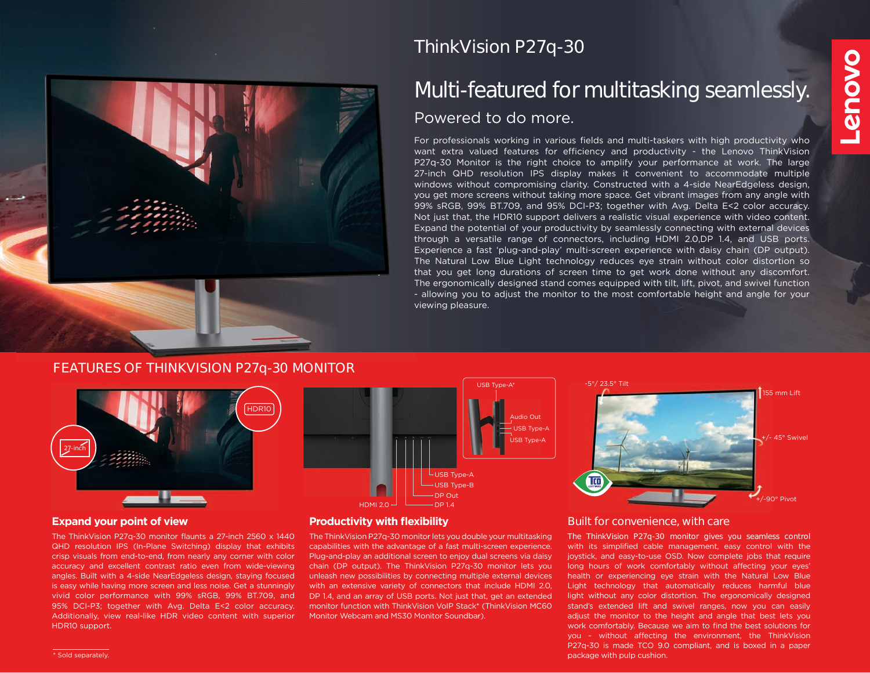

# **ThinkVision P27q-30**

# **Multi-featured for multitasking seamlessly.** Powered to do more.

For professionals working in various fields and multi-taskers with high productivity who want extra valued features for efficiency and productivity - the Lenovo ThinkVision P27q-30 Monitor is the right choice to amplify your performance at work. The large 27-inch QHD resolution IPS display makes it convenient to accommodate multiple windows without compromising clarity. Constructed with a 4-side NearEdgeless design, you get more screens without taking more space. Get vibrant images from any angle with 99% sRGB, 99% BT.709, and 95% DCI-P3; together with Avg. Delta E<2 color accuracy. Not just that, the HDR10 support delivers a realistic visual experience with video content. Expand the potential of your productivity by seamlessly connecting with external devices through a versatile range of connectors, including HDMI 2.0,DP 1.4, and USB ports. Experience a fast 'plug-and-play' multi-screen experience with daisy chain (DP output). The Natural Low Blue Light technology reduces eye strain without color distortion so that you get long durations of screen time to get work done without any discomfort. The ergonomically designed stand comes equipped with tilt, lift, pivot, and swivel function - allowing you to adjust the monitor to the most comfortable height and angle for your viewing pleasure.

#### **FEATURES OF THINKVISION P27q-30 MONITOR**



The ThinkVision P27q-30 monitor flaunts a 27-inch 2560 x 1440 QHD resolution IPS (In-Plane Switching) display that exhibits crisp visuals from end-to-end, from nearly any corner with color accuracy and excellent contrast ratio even from wide-viewing angles. Built with a 4-side NearEdgeless design, staying focused is easy while having more screen and less noise. Get a stunningly vivid color performance with 99% sRGB, 99% BT.709, and 95% DCI-P3; together with Avg. Delta E<2 color accuracy. Additionally, view real-like HDR video content with superior HDR10 support.





#### **Expand your point of view Productivity with flexibility**

The ThinkVision P27q-30 monitor lets you double your multitasking capabilities with the advantage of a fast multi-screen experience. Plug-and-play an additional screen to enjoy dual screens via daisy chain (DP output). The ThinkVision P27q-30 monitor lets you unleash new possibilities by connecting multiple external devices with an extensive variety of connectors that include HDMI 2.0, DP 1.4, and an array of USB ports. Not just that, get an extended monitor function with ThinkVision VoIP Stack\* (ThinkVision MC60 Monitor Webcam and MS30 Monitor Soundbar).

#### **Built for convenience, with care**

The ThinkVision P27q-30 monitor gives you seamless control with its simplified cable management, easy control with the joystick, and easy-to-use OSD. Now complete jobs that require long hours of work comfortably without affecting your eyes' health or experiencing eye strain with the Natural Low Blue Light technology that automatically reduces harmful blue light without any color distortion. The ergonomically designed stand's extended lift and swivel ranges, now you can easily adjust the monitor to the height and angle that best lets you work comfortably. Because we aim to find the best solutions for you - without affecting the environment, the ThinkVision P27q-30 is made TCO 9.0 compliant, and is boxed in a paper package with pulp cushion.